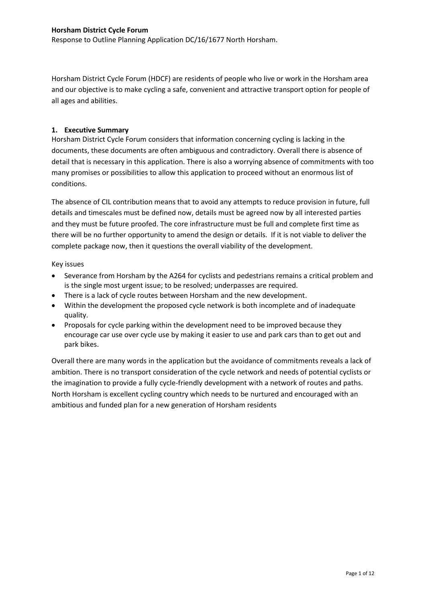Response to Outline Planning Application DC/16/1677 North Horsham.

Horsham District Cycle Forum (HDCF) are residents of people who live or work in the Horsham area and our objective is to make cycling a safe, convenient and attractive transport option for people of all ages and abilities.

# **1. Executive Summary**

Horsham District Cycle Forum considers that information concerning cycling is lacking in the documents, these documents are often ambiguous and contradictory. Overall there is absence of detail that is necessary in this application. There is also a worrying absence of commitments with too many promises or possibilities to allow this application to proceed without an enormous list of conditions.

The absence of CIL contribution means that to avoid any attempts to reduce provision in future, full details and timescales must be defined now, details must be agreed now by all interested parties and they must be future proofed. The core infrastructure must be full and complete first time as there will be no further opportunity to amend the design or details. If it is not viable to deliver the complete package now, then it questions the overall viability of the development.

### Key issues

- Severance from Horsham by the A264 for cyclists and pedestrians remains a critical problem and is the single most urgent issue; to be resolved; underpasses are required.
- There is a lack of cycle routes between Horsham and the new development.
- Within the development the proposed cycle network is both incomplete and of inadequate quality.
- Proposals for cycle parking within the development need to be improved because they encourage car use over cycle use by making it easier to use and park cars than to get out and park bikes.

Overall there are many words in the application but the avoidance of commitments reveals a lack of ambition. There is no transport consideration of the cycle network and needs of potential cyclists or the imagination to provide a fully cycle-friendly development with a network of routes and paths. North Horsham is excellent cycling country which needs to be nurtured and encouraged with an ambitious and funded plan for a new generation of Horsham residents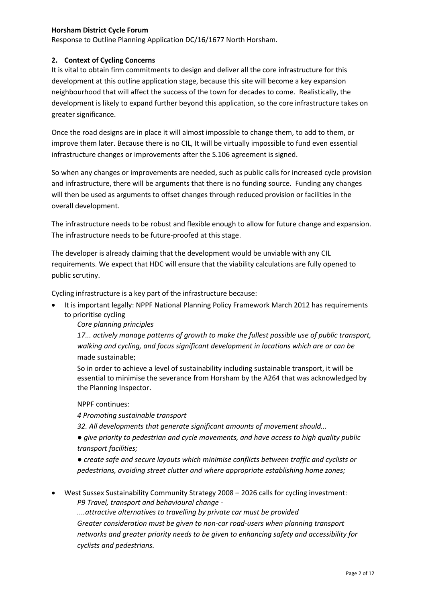Response to Outline Planning Application DC/16/1677 North Horsham.

# **2. Context of Cycling Concerns**

It is vital to obtain firm commitments to design and deliver all the core infrastructure for this development at this outline application stage, because this site will become a key expansion neighbourhood that will affect the success of the town for decades to come. Realistically, the development is likely to expand further beyond this application, so the core infrastructure takes on greater significance.

Once the road designs are in place it will almost impossible to change them, to add to them, or improve them later. Because there is no CIL, It will be virtually impossible to fund even essential infrastructure changes or improvements after the S.106 agreement is signed.

So when any changes or improvements are needed, such as public calls for increased cycle provision and infrastructure, there will be arguments that there is no funding source. Funding any changes will then be used as arguments to offset changes through reduced provision or facilities in the overall development.

The infrastructure needs to be robust and flexible enough to allow for future change and expansion. The infrastructure needs to be future-proofed at this stage.

The developer is already claiming that the development would be unviable with any CIL requirements. We expect that HDC will ensure that the viability calculations are fully opened to public scrutiny.

Cycling infrastructure is a key part of the infrastructure because:

 It is important legally: NPPF National Planning Policy Framework March 2012 has requirements to prioritise cycling

*Core planning principles* 

*17... actively manage patterns of growth to make the fullest possible use of public transport, walking and cycling, and focus significant development in locations which are or can be*  made sustainable;

So in order to achieve a level of sustainability including sustainable transport, it will be essential to minimise the severance from Horsham by the A264 that was acknowledged by the Planning Inspector.

# NPPF continues:

*4 Promoting sustainable transport* 

*32. All developments that generate significant amounts of movement should...* 

*● give priority to pedestrian and cycle movements, and have access to high quality public transport facilities;* 

*● create safe and secure layouts which minimise conflicts between traffic and cyclists or pedestrians, avoiding street clutter and where appropriate establishing home zones;* 

 West Sussex Sustainability Community Strategy 2008 – 2026 calls for cycling investment: *P9 Travel, transport and behavioural change -*

*....attractive alternatives to travelling by private car must be provided Greater consideration must be given to non-car road-users when planning transport networks and greater priority needs to be given to enhancing safety and accessibility for cyclists and pedestrians.*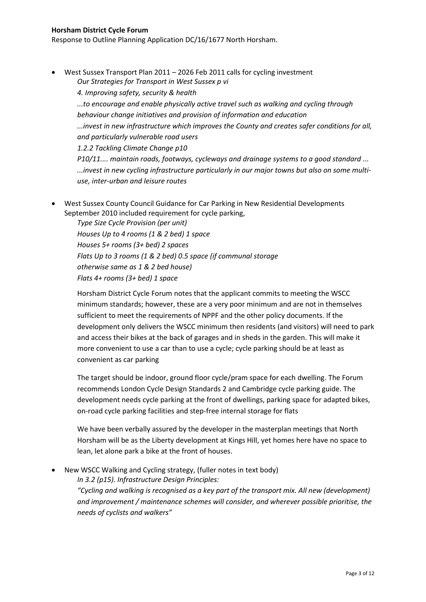Response to Outline Planning Application DC/16/1677 North Horsham.

 West Sussex Transport Plan 2011 – 2026 Feb 2011 calls for cycling investment *Our Strategies for Transport in West Sussex p vi*

*4. Improving safety, security & health ...to encourage and enable physically active travel such as walking and cycling through behaviour change initiatives and provision of information and education ...invest in new infrastructure which improves the County and creates safer conditions for all, and particularly vulnerable road users*

*1.2.2 Tackling Climate Change p10 P10/11.... maintain roads, footways, cycleways and drainage systems to a good standard ... ...invest in new cycling infrastructure particularly in our major towns but also on some multiuse, inter-urban and leisure routes*

 West Sussex County Council Guidance for Car Parking in New Residential Developments September 2010 included requirement for cycle parking,

*Type Size Cycle Provision (per unit) Houses Up to 4 rooms (1 & 2 bed) 1 space Houses 5+ rooms (3+ bed) 2 spaces Flats Up to 3 rooms (1 & 2 bed) 0.5 space (if communal storage otherwise same as 1 & 2 bed house) Flats 4+ rooms (3+ bed) 1 space*

Horsham District Cycle Forum notes that the applicant commits to meeting the WSCC minimum standards; however, these are a very poor minimum and are not in themselves sufficient to meet the requirements of NPPF and the other policy documents. If the development only delivers the WSCC minimum then residents (and visitors) will need to park and access their bikes at the back of garages and in sheds in the garden. This will make it more convenient to use a car than to use a cycle; cycle parking should be at least as convenient as car parking

The target should be indoor, ground floor cycle/pram space for each dwelling. The Forum recommends London Cycle Design Standards 2 and Cambridge cycle parking guide. The development needs cycle parking at the front of dwellings, parking space for adapted bikes, on-road cycle parking facilities and step-free internal storage for flats

We have been verbally assured by the developer in the masterplan meetings that North Horsham will be as the Liberty development at Kings Hill, yet homes here have no space to lean, let alone park a bike at the front of houses.

New WSCC Walking and Cycling strategy, (fuller notes in text body)

*In 3.2 (p15). Infrastructure Design Principles:*

*"Cycling and walking is recognised as a key part of the transport mix. All new (development) and improvement / maintenance schemes will consider, and wherever possible prioritise, the needs of cyclists and walkers"*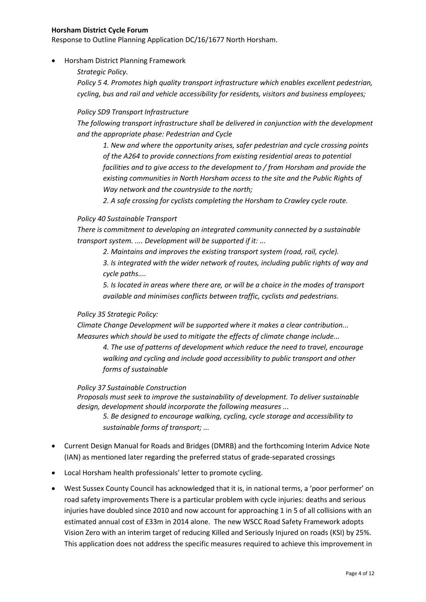Response to Outline Planning Application DC/16/1677 North Horsham.

- Horsham District Planning Framework
	- *Strategic Policy.*

*Policy 5 4. Promotes high quality transport infrastructure which enables excellent pedestrian, cycling, bus and rail and vehicle accessibility for residents, visitors and business employees;* 

# *Policy SD9 Transport Infrastructure*

*The following transport infrastructure shall be delivered in conjunction with the development and the appropriate phase: Pedestrian and Cycle* 

*1. New and where the opportunity arises, safer pedestrian and cycle crossing points of the A264 to provide connections from existing residential areas to potential facilities and to give access to the development to / from Horsham and provide the existing communities in North Horsham access to the site and the Public Rights of Way network and the countryside to the north;* 

*2. A safe crossing for cyclists completing the Horsham to Crawley cycle route.*

# *Policy 40 Sustainable Transport*

*There is commitment to developing an integrated community connected by a sustainable transport system. .... Development will be supported if it: ...*

*2. Maintains and improves the existing transport system (road, rail, cycle).* 

*3. Is integrated with the wider network of routes, including public rights of way and cycle paths....*

*5. Is located in areas where there are, or will be a choice in the modes of transport available and minimises conflicts between traffic, cyclists and pedestrians.*

# *Policy 35 Strategic Policy:*

*Climate Change Development will be supported where it makes a clear contribution... Measures which should be used to mitigate the effects of climate change include...*

*4. The use of patterns of development which reduce the need to travel, encourage walking and cycling and include good accessibility to public transport and other forms of sustainable*

*Policy 37 Sustainable Construction*

*Proposals must seek to improve the sustainability of development. To deliver sustainable design, development should incorporate the following measures ...*

*5. Be designed to encourage walking, cycling, cycle storage and accessibility to sustainable forms of transport; ...*

- Current Design Manual for Roads and Bridges (DMRB) and the forthcoming Interim Advice Note (IAN) as mentioned later regarding the preferred status of grade-separated crossings
- Local Horsham health professionals' letter to promote cycling.
- West Sussex County Council has acknowledged that it is, in national terms, a 'poor performer' on road safety improvements There is a particular problem with cycle injuries: deaths and serious injuries have doubled since 2010 and now account for approaching 1 in 5 of all collisions with an estimated annual cost of £33m in 2014 alone. The new WSCC Road Safety Framework adopts Vision Zero with an interim target of reducing Killed and Seriously Injured on roads (KSI) by 25%. This application does not address the specific measures required to achieve this improvement in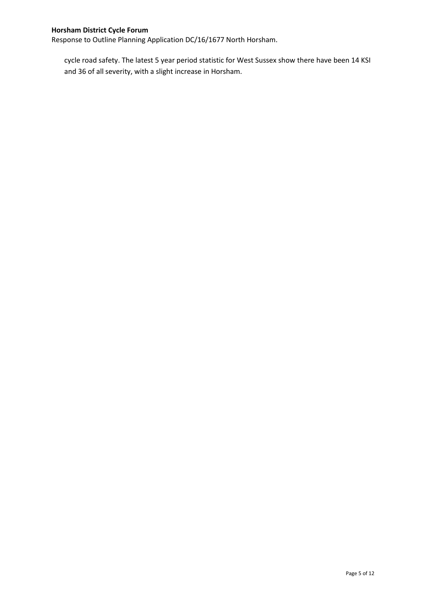Response to Outline Planning Application DC/16/1677 North Horsham.

cycle road safety. The latest 5 year period statistic for West Sussex show there have been 14 KSI and 36 of all severity, with a slight increase in Horsham.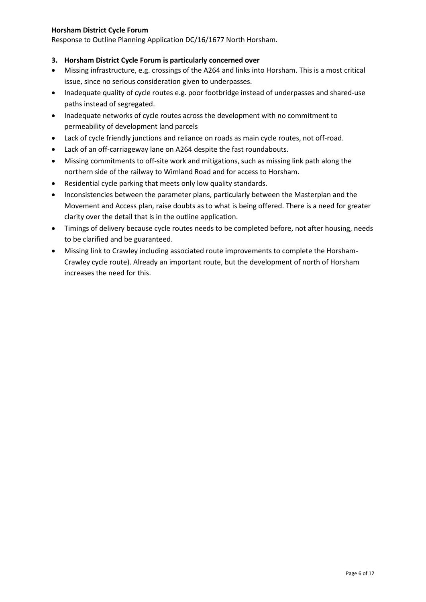Response to Outline Planning Application DC/16/1677 North Horsham.

# **3. Horsham District Cycle Forum is particularly concerned over**

- Missing infrastructure, e.g. crossings of the A264 and links into Horsham. This is a most critical issue, since no serious consideration given to underpasses.
- Inadequate quality of cycle routes e.g. poor footbridge instead of underpasses and shared-use paths instead of segregated.
- Inadequate networks of cycle routes across the development with no commitment to permeability of development land parcels
- Lack of cycle friendly junctions and reliance on roads as main cycle routes, not off-road.
- Lack of an off-carriageway lane on A264 despite the fast roundabouts.
- Missing commitments to off-site work and mitigations, such as missing link path along the northern side of the railway to Wimland Road and for access to Horsham.
- Residential cycle parking that meets only low quality standards.
- Inconsistencies between the parameter plans, particularly between the Masterplan and the Movement and Access plan, raise doubts as to what is being offered. There is a need for greater clarity over the detail that is in the outline application.
- Timings of delivery because cycle routes needs to be completed before, not after housing, needs to be clarified and be guaranteed.
- Missing link to Crawley including associated route improvements to complete the Horsham-Crawley cycle route). Already an important route, but the development of north of Horsham increases the need for this.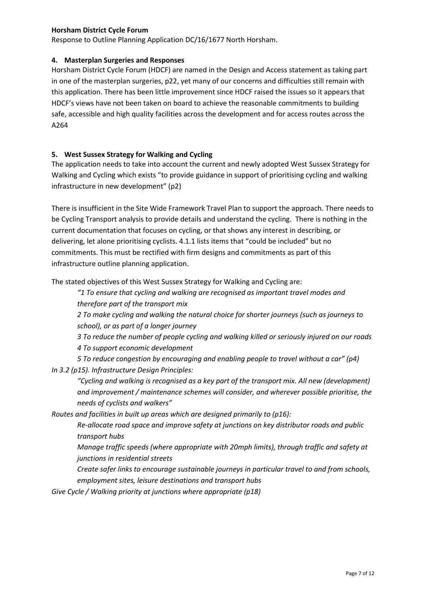Response to Outline Planning Application DC/16/1677 North Horsham.

### **4. Masterplan Surgeries and Responses**

Horsham District Cycle Forum (HDCF) are named in the Design and Access statement as taking part in one of the masterplan surgeries, p22, yet many of our concerns and difficulties still remain with this application. There has been little improvement since HDCF raised the issues so it appears that HDCF's views have not been taken on board to achieve the reasonable commitments to building safe, accessible and high quality facilities across the development and for access routes across the A264

# **5. West Sussex Strategy for Walking and Cycling**

The application needs to take into account the current and newly adopted West Sussex Strategy for Walking and Cycling which exists "to provide guidance in support of prioritising cycling and walking infrastructure in new development" (p2)

There is insufficient in the Site Wide Framework Travel Plan to support the approach. There needs to be Cycling Transport analysis to provide details and understand the cycling. There is nothing in the current documentation that focuses on cycling, or that shows any interest in describing, or delivering, let alone prioritising cyclists. 4.1.1 lists items that "could be included" but no commitments. This must be rectified with firm designs and commitments as part of this infrastructure outline planning application.

The stated objectives of this West Sussex Strategy for Walking and Cycling are:

*"1 To ensure that cycling and walking are recognised as important travel modes and therefore part of the transport mix* 

*2 To make cycling and walking the natural choice for shorter journeys (such as journeys to school), or as part of a longer journey* 

*3 To reduce the number of people cycling and walking killed or seriously injured on our roads* 

*4 To support economic development* 

*5 To reduce congestion by encouraging and enabling people to travel without a car" (p4) In 3.2 (p15). Infrastructure Design Principles:*

*"Cycling and walking is recognised as a key part of the transport mix. All new (development) and improvement / maintenance schemes will consider, and wherever possible prioritise, the needs of cyclists and walkers"* 

*Routes and facilities in built up areas which are designed primarily to (p16):* 

*Re-allocate road space and improve safety at junctions on key distributor roads and public transport hubs* 

*Manage traffic speeds (where appropriate with 20mph limits), through traffic and safety at junctions in residential streets* 

*Create safer links to encourage sustainable journeys in particular travel to and from schools, employment sites, leisure destinations and transport hubs* 

*Give Cycle / Walking priority at junctions where appropriate (p18)*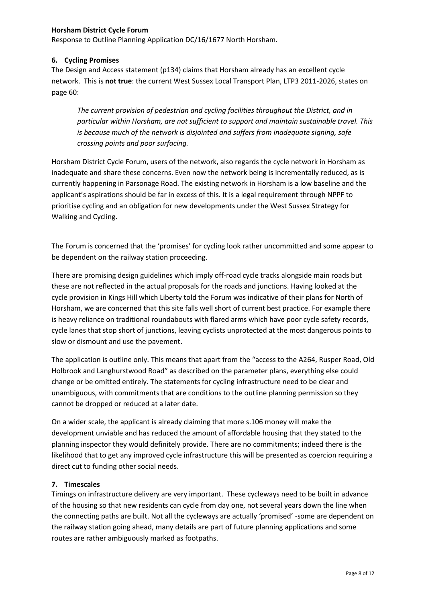Response to Outline Planning Application DC/16/1677 North Horsham.

# **6. Cycling Promises**

The Design and Access statement (p134) claims that Horsham already has an excellent cycle network. This is **not true**: the current West Sussex Local Transport Plan, LTP3 2011-2026, states on page 60:

*The current provision of pedestrian and cycling facilities throughout the District, and in particular within Horsham, are not sufficient to support and maintain sustainable travel. This is because much of the network is disjointed and suffers from inadequate signing, safe crossing points and poor surfacing.* 

Horsham District Cycle Forum, users of the network, also regards the cycle network in Horsham as inadequate and share these concerns. Even now the network being is incrementally reduced, as is currently happening in Parsonage Road. The existing network in Horsham is a low baseline and the applicant's aspirations should be far in excess of this. It is a legal requirement through NPPF to prioritise cycling and an obligation for new developments under the West Sussex Strategy for Walking and Cycling.

The Forum is concerned that the 'promises' for cycling look rather uncommitted and some appear to be dependent on the railway station proceeding.

There are promising design guidelines which imply off-road cycle tracks alongside main roads but these are not reflected in the actual proposals for the roads and junctions. Having looked at the cycle provision in Kings Hill which Liberty told the Forum was indicative of their plans for North of Horsham, we are concerned that this site falls well short of current best practice. For example there is heavy reliance on traditional roundabouts with flared arms which have poor cycle safety records, cycle lanes that stop short of junctions, leaving cyclists unprotected at the most dangerous points to slow or dismount and use the pavement.

The application is outline only. This means that apart from the "access to the A264, Rusper Road, Old Holbrook and Langhurstwood Road" as described on the parameter plans, everything else could change or be omitted entirely. The statements for cycling infrastructure need to be clear and unambiguous, with commitments that are conditions to the outline planning permission so they cannot be dropped or reduced at a later date.

On a wider scale, the applicant is already claiming that more s.106 money will make the development unviable and has reduced the amount of affordable housing that they stated to the planning inspector they would definitely provide. There are no commitments; indeed there is the likelihood that to get any improved cycle infrastructure this will be presented as coercion requiring a direct cut to funding other social needs.

# **7. Timescales**

Timings on infrastructure delivery are very important. These cycleways need to be built in advance of the housing so that new residents can cycle from day one, not several years down the line when the connecting paths are built. Not all the cycleways are actually 'promised' -some are dependent on the railway station going ahead, many details are part of future planning applications and some routes are rather ambiguously marked as footpaths.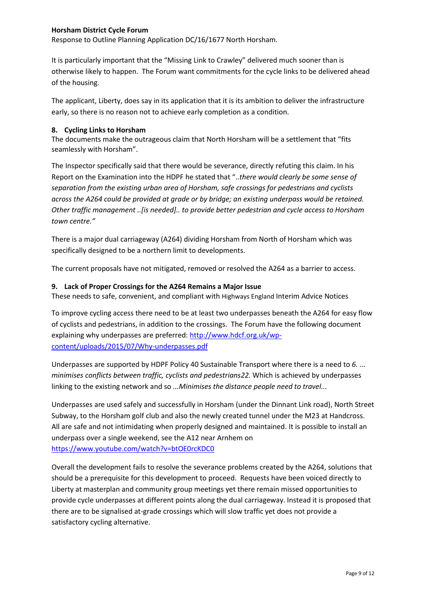Response to Outline Planning Application DC/16/1677 North Horsham.

It is particularly important that the "Missing Link to Crawley" delivered much sooner than is otherwise likely to happen. The Forum want commitments for the cycle links to be delivered ahead of the housing.

The applicant, Liberty, does say in its application that it is its ambition to deliver the infrastructure early, so there is no reason not to achieve early completion as a condition.

### **8. Cycling Links to Horsham**

The documents make the outrageous claim that North Horsham will be a settlement that "fits seamlessly with Horsham".

The Inspector specifically said that there would be severance, directly refuting this claim. In his Report on the Examination into the HDPF he stated that "..*there would clearly be some sense of separation from the existing urban area of Horsham, safe crossings for pedestrians and cyclists across the A264 could be provided at grade or by bridge; an existing underpass would be retained. Other traffic management ..[is needed].. to provide better pedestrian and cycle access to Horsham town centre."*

There is a major dual carriageway (A264) dividing Horsham from North of Horsham which was specifically designed to be a northern limit to developments.

The current proposals have not mitigated, removed or resolved the A264 as a barrier to access.

### **9. Lack of Proper Crossings for the A264 Remains a Major Issue**

These needs to safe, convenient, and compliant with Highways England Interim Advice Notices

To improve cycling access there need to be at least two underpasses beneath the A264 for easy flow of cyclists and pedestrians, in addition to the crossings. The Forum have the following document explaining why underpasses are preferred: [http://www.hdcf.org.uk/wp](http://www.hdcf.org.uk/wp-content/uploads/2015/07/Why-underpasses.pdf)[content/uploads/2015/07/Why-underpasses.pdf](http://www.hdcf.org.uk/wp-content/uploads/2015/07/Why-underpasses.pdf)

Underpasses are supported by HDPF Policy 40 Sustainable Transport where there is a need to *6. ... minimises conflicts between traffic, cyclists and pedestrians22.* Which is achieved by underpasses linking to the existing network and so *...Minimises the distance people need to travel...*

Underpasses are used safely and successfully in Horsham (under the Dinnant Link road), North Street Subway, to the Horsham golf club and also the newly created tunnel under the M23 at Handcross. All are safe and not intimidating when properly designed and maintained. It is possible to install an underpass over a single weekend, see the A12 near Arnhem on <https://www.youtube.com/watch?v=btOE0rcKDC0>

Overall the development fails to resolve the severance problems created by the A264, solutions that should be a prerequisite for this development to proceed. Requests have been voiced directly to Liberty at masterplan and community group meetings yet there remain missed opportunities to provide cycle underpasses at different points along the dual carriageway. Instead it is proposed that there are to be signalised at-grade crossings which will slow traffic yet does not provide a satisfactory cycling alternative.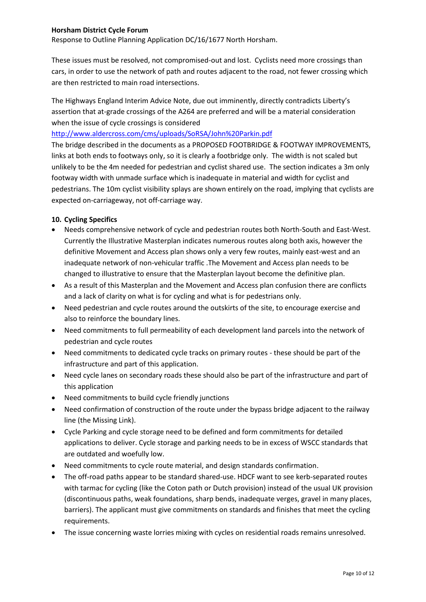Response to Outline Planning Application DC/16/1677 North Horsham.

These issues must be resolved, not compromised-out and lost. Cyclists need more crossings than cars, in order to use the network of path and routes adjacent to the road, not fewer crossing which are then restricted to main road intersections.

The Highways England Interim Advice Note, due out imminently, directly contradicts Liberty's assertion that at-grade crossings of the A264 are preferred and will be a material consideration when the issue of cycle crossings is considered

# <http://www.aldercross.com/cms/uploads/SoRSA/John%20Parkin.pdf>

The bridge described in the documents as a PROPOSED FOOTBRIDGE & FOOTWAY IMPROVEMENTS, links at both ends to footways only, so it is clearly a footbridge only. The width is not scaled but unlikely to be the 4m needed for pedestrian and cyclist shared use. The section indicates a 3m only footway width with unmade surface which is inadequate in material and width for cyclist and pedestrians. The 10m cyclist visibility splays are shown entirely on the road, implying that cyclists are expected on-carriageway, not off-carriage way.

# **10. Cycling Specifics**

- Needs comprehensive network of cycle and pedestrian routes both North-South and East-West. Currently the Illustrative Masterplan indicates numerous routes along both axis, however the definitive Movement and Access plan shows only a very few routes, mainly east-west and an inadequate network of non-vehicular traffic .The Movement and Access plan needs to be changed to illustrative to ensure that the Masterplan layout become the definitive plan.
- As a result of this Masterplan and the Movement and Access plan confusion there are conflicts and a lack of clarity on what is for cycling and what is for pedestrians only.
- Need pedestrian and cycle routes around the outskirts of the site, to encourage exercise and also to reinforce the boundary lines.
- Need commitments to full permeability of each development land parcels into the network of pedestrian and cycle routes
- Need commitments to dedicated cycle tracks on primary routes these should be part of the infrastructure and part of this application.
- Need cycle lanes on secondary roads these should also be part of the infrastructure and part of this application
- Need commitments to build cycle friendly junctions
- Need confirmation of construction of the route under the bypass bridge adjacent to the railway line (the Missing Link).
- Cycle Parking and cycle storage need to be defined and form commitments for detailed applications to deliver. Cycle storage and parking needs to be in excess of WSCC standards that are outdated and woefully low.
- Need commitments to cycle route material, and design standards confirmation.
- The off-road paths appear to be standard shared-use. HDCF want to see kerb-separated routes with tarmac for cycling (like the Coton path or Dutch provision) instead of the usual UK provision (discontinuous paths, weak foundations, sharp bends, inadequate verges, gravel in many places, barriers). The applicant must give commitments on standards and finishes that meet the cycling requirements.
- The issue concerning waste lorries mixing with cycles on residential roads remains unresolved.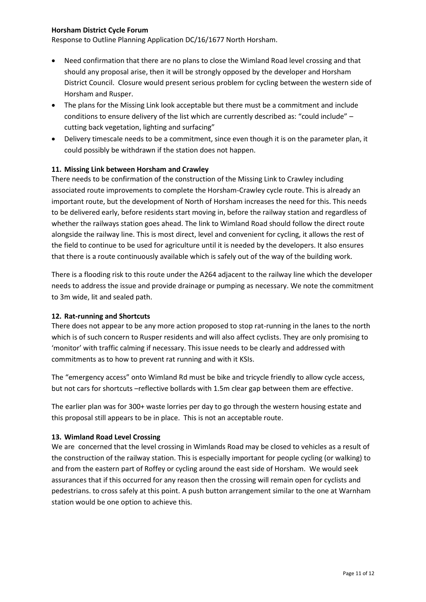Response to Outline Planning Application DC/16/1677 North Horsham.

- Need confirmation that there are no plans to close the Wimland Road level crossing and that should any proposal arise, then it will be strongly opposed by the developer and Horsham District Council. Closure would present serious problem for cycling between the western side of Horsham and Rusper.
- The plans for the Missing Link look acceptable but there must be a commitment and include conditions to ensure delivery of the list which are currently described as: "could include" – cutting back vegetation, lighting and surfacing"
- Delivery timescale needs to be a commitment, since even though it is on the parameter plan, it could possibly be withdrawn if the station does not happen.

### **11. Missing Link between Horsham and Crawley**

There needs to be confirmation of the construction of the Missing Link to Crawley including associated route improvements to complete the Horsham-Crawley cycle route. This is already an important route, but the development of North of Horsham increases the need for this. This needs to be delivered early, before residents start moving in, before the railway station and regardless of whether the railways station goes ahead. The link to Wimland Road should follow the direct route alongside the railway line. This is most direct, level and convenient for cycling, it allows the rest of the field to continue to be used for agriculture until it is needed by the developers. It also ensures that there is a route continuously available which is safely out of the way of the building work.

There is a flooding risk to this route under the A264 adjacent to the railway line which the developer needs to address the issue and provide drainage or pumping as necessary. We note the commitment to 3m wide, lit and sealed path.

#### **12. Rat-running and Shortcuts**

There does not appear to be any more action proposed to stop rat-running in the lanes to the north which is of such concern to Rusper residents and will also affect cyclists. They are only promising to 'monitor' with traffic calming if necessary. This issue needs to be clearly and addressed with commitments as to how to prevent rat running and with it KSIs.

The "emergency access" onto Wimland Rd must be bike and tricycle friendly to allow cycle access, but not cars for shortcuts –reflective bollards with 1.5m clear gap between them are effective.

The earlier plan was for 300+ waste lorries per day to go through the western housing estate and this proposal still appears to be in place. This is not an acceptable route.

#### **13. Wimland Road Level Crossing**

We are concerned that the level crossing in Wimlands Road may be closed to vehicles as a result of the construction of the railway station. This is especially important for people cycling (or walking) to and from the eastern part of Roffey or cycling around the east side of Horsham. We would seek assurances that if this occurred for any reason then the crossing will remain open for cyclists and pedestrians. to cross safely at this point. A push button arrangement similar to the one at Warnham station would be one option to achieve this.